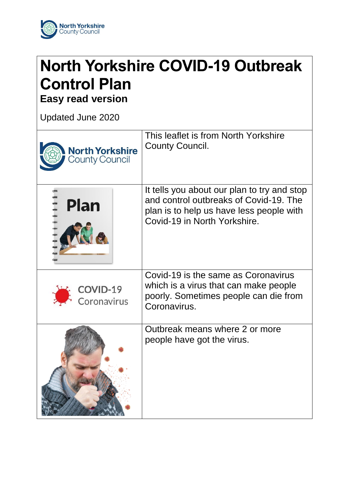

## **North Yorkshire COVID-19 Outbreak Control Plan**

**Easy read version**

Updated June 2020

| <b>North Yorkshire</b><br><b>County Council</b> | This leaflet is from North Yorkshire<br><b>County Council.</b>                                                                                                    |
|-------------------------------------------------|-------------------------------------------------------------------------------------------------------------------------------------------------------------------|
| Plan                                            | It tells you about our plan to try and stop<br>and control outbreaks of Covid-19. The<br>plan is to help us have less people with<br>Covid-19 in North Yorkshire. |
| COVID-19<br>Coronavirus                         | Covid-19 is the same as Coronavirus<br>which is a virus that can make people<br>poorly. Sometimes people can die from<br>Coronavirus.                             |
|                                                 | Outbreak means where 2 or more<br>people have got the virus.                                                                                                      |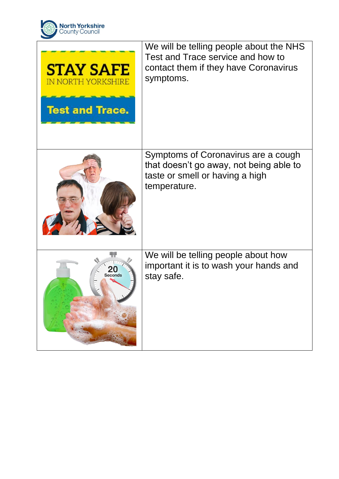

| <b>STAY SAFE</b><br><b>IN NORTH YORKSHIRE</b><br><b>Test and Trace.</b> | We will be telling people about the NHS<br>Test and Trace service and how to<br>contact them if they have Coronavirus<br>symptoms. |
|-------------------------------------------------------------------------|------------------------------------------------------------------------------------------------------------------------------------|
|                                                                         | Symptoms of Coronavirus are a cough<br>that doesn't go away, not being able to<br>taste or smell or having a high<br>temperature.  |
| <b>Seconds</b>                                                          | We will be telling people about how<br>important it is to wash your hands and<br>stay safe.                                        |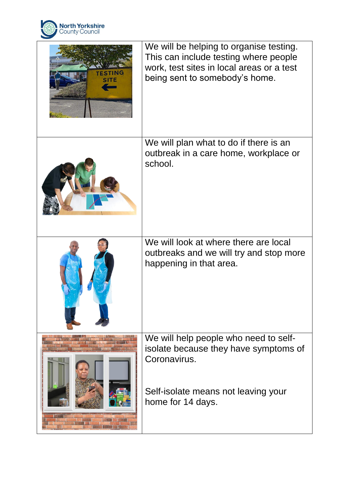

|  | We will be helping to organise testing.<br>This can include testing where people<br>work, test sites in local areas or a test<br>being sent to somebody's home. |
|--|-----------------------------------------------------------------------------------------------------------------------------------------------------------------|
|  | We will plan what to do if there is an<br>outbreak in a care home, workplace or<br>school.                                                                      |
|  | We will look at where there are local<br>outbreaks and we will try and stop more<br>happening in that area.                                                     |
|  | We will help people who need to self-<br>isolate because they have symptoms of<br>Coronavirus.                                                                  |
|  | Self-isolate means not leaving your<br>home for 14 days.                                                                                                        |